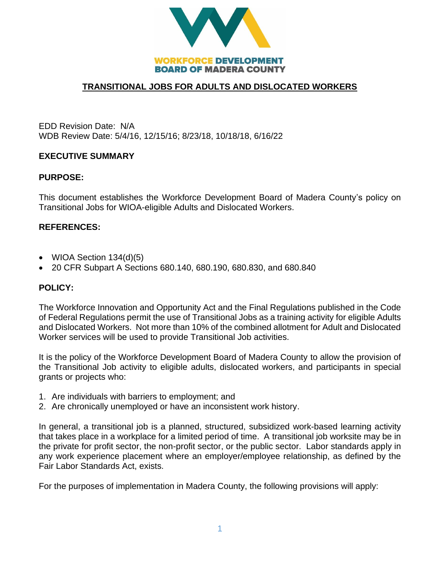

# **TRANSITIONAL JOBS FOR ADULTS AND DISLOCATED WORKERS**

EDD Revision Date: N/A WDB Review Date: 5/4/16, 12/15/16; 8/23/18, 10/18/18, 6/16/22

### **EXECUTIVE SUMMARY**

### **PURPOSE:**

This document establishes the Workforce Development Board of Madera County's policy on Transitional Jobs for WIOA-eligible Adults and Dislocated Workers.

### **REFERENCES:**

- WIOA Section 134(d)(5)
- 20 CFR Subpart A Sections 680.140, 680.190, 680.830, and 680.840

#### **POLICY:**

The Workforce Innovation and Opportunity Act and the Final Regulations published in the Code of Federal Regulations permit the use of Transitional Jobs as a training activity for eligible Adults and Dislocated Workers. Not more than 10% of the combined allotment for Adult and Dislocated Worker services will be used to provide Transitional Job activities.

It is the policy of the Workforce Development Board of Madera County to allow the provision of the Transitional Job activity to eligible adults, dislocated workers, and participants in special grants or projects who:

- 1. Are individuals with barriers to employment; and
- 2. Are chronically unemployed or have an inconsistent work history.

In general, a transitional job is a planned, structured, subsidized work-based learning activity that takes place in a workplace for a limited period of time. A transitional job worksite may be in the private for profit sector, the non-profit sector, or the public sector. Labor standards apply in any work experience placement where an employer/employee relationship, as defined by the Fair Labor Standards Act, exists.

For the purposes of implementation in Madera County, the following provisions will apply: